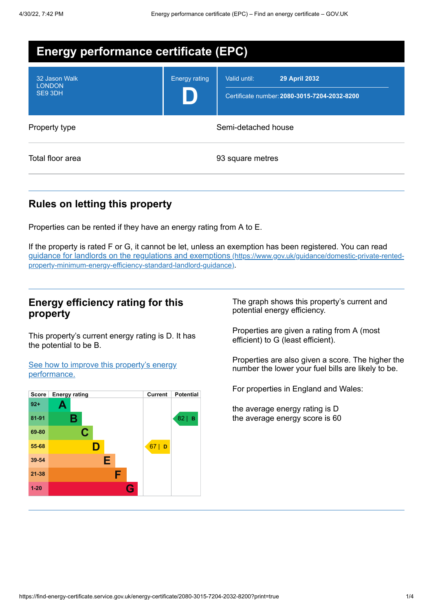| <b>Energy performance certificate (EPC)</b> |                      |                                                                                      |  |
|---------------------------------------------|----------------------|--------------------------------------------------------------------------------------|--|
| 32 Jason Walk<br><b>LONDON</b><br>SE9 3DH   | <b>Energy rating</b> | Valid until:<br><b>29 April 2032</b><br>Certificate number: 2080-3015-7204-2032-8200 |  |
| Property type                               |                      | Semi-detached house                                                                  |  |
| Total floor area                            |                      | 93 square metres                                                                     |  |

## **Rules on letting this property**

Properties can be rented if they have an energy rating from A to E.

If the property is rated F or G, it cannot be let, unless an exemption has been registered. You can read guidance for landlords on the regulations and exemptions (https://www.gov.uk/guidance/domestic-private-rented[property-minimum-energy-efficiency-standard-landlord-guidance\)](https://www.gov.uk/guidance/domestic-private-rented-property-minimum-energy-efficiency-standard-landlord-guidance).

### **Energy efficiency rating for this property**

This property's current energy rating is D. It has the potential to be B.

See how to improve this property's energy [performance.](#page-2-0)



The graph shows this property's current and potential energy efficiency.

Properties are given a rating from A (most efficient) to G (least efficient).

Properties are also given a score. The higher the number the lower your fuel bills are likely to be.

For properties in England and Wales:

the average energy rating is D the average energy score is 60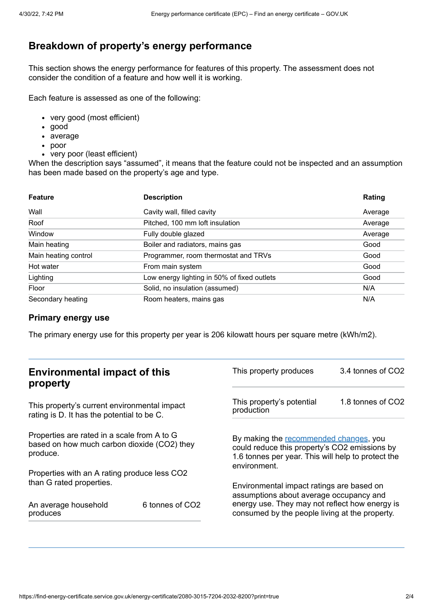# **Breakdown of property's energy performance**

This section shows the energy performance for features of this property. The assessment does not consider the condition of a feature and how well it is working.

Each feature is assessed as one of the following:

- very good (most efficient)
- good
- average
- poor
- very poor (least efficient)

When the description says "assumed", it means that the feature could not be inspected and an assumption has been made based on the property's age and type.

| <b>Feature</b>       | <b>Description</b>                          | Rating  |
|----------------------|---------------------------------------------|---------|
| Wall                 | Cavity wall, filled cavity                  | Average |
| Roof                 | Pitched, 100 mm loft insulation             | Average |
| Window               | Fully double glazed                         | Average |
| Main heating         | Boiler and radiators, mains gas             | Good    |
| Main heating control | Programmer, room thermostat and TRVs        | Good    |
| Hot water            | From main system                            | Good    |
| Lighting             | Low energy lighting in 50% of fixed outlets | Good    |
| Floor                | Solid, no insulation (assumed)              | N/A     |
| Secondary heating    | Room heaters, mains gas                     | N/A     |

#### **Primary energy use**

The primary energy use for this property per year is 206 kilowatt hours per square metre (kWh/m2).

| <b>Environmental impact of this</b><br>property                                                        |                 | This property produces                                                                                                                                        | 3.4 tonnes of CO2 |
|--------------------------------------------------------------------------------------------------------|-----------------|---------------------------------------------------------------------------------------------------------------------------------------------------------------|-------------------|
| This property's current environmental impact<br>rating is D. It has the potential to be C.             |                 | This property's potential<br>production                                                                                                                       | 1.8 tonnes of CO2 |
| Properties are rated in a scale from A to G<br>based on how much carbon dioxide (CO2) they<br>produce. |                 | By making the recommended changes, you<br>could reduce this property's CO2 emissions by<br>1.6 tonnes per year. This will help to protect the<br>environment. |                   |
| Properties with an A rating produce less CO2                                                           |                 |                                                                                                                                                               |                   |
| than G rated properties.<br>An average household                                                       | 6 tonnes of CO2 | Environmental impact ratings are based on<br>assumptions about average occupancy and<br>energy use. They may not reflect how energy is                        |                   |
| produces                                                                                               |                 | consumed by the people living at the property.                                                                                                                |                   |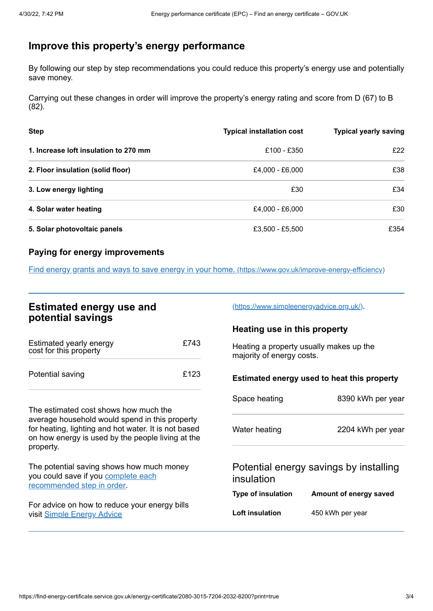# <span id="page-2-0"></span>**Improve this property's energy performance**

By following our step by step recommendations you could reduce this property's energy use and potentially save money.

Carrying out these changes in order will improve the property's energy rating and score from D (67) to B (82).

| <b>Step</b>                           | <b>Typical installation cost</b> | <b>Typical yearly saving</b> |
|---------------------------------------|----------------------------------|------------------------------|
| 1. Increase loft insulation to 270 mm | £100 - £350                      | £22                          |
| 2. Floor insulation (solid floor)     | £4,000 - £6,000                  | £38                          |
| 3. Low energy lighting                | £30                              | £34                          |
| 4. Solar water heating                | £4,000 - £6,000                  | £30                          |
| 5. Solar photovoltaic panels          | £3,500 - £5,500                  | £354                         |

#### **Paying for energy improvements**

Find energy grants and ways to save energy in your home. [\(https://www.gov.uk/improve-energy-efficiency\)](https://www.gov.uk/improve-energy-efficiency)

| <b>Estimated energy use and</b><br>potential savings                                                                                                                     |      | (https://www.simpleenergyadvice.org.uk/).                            |                        |
|--------------------------------------------------------------------------------------------------------------------------------------------------------------------------|------|----------------------------------------------------------------------|------------------------|
|                                                                                                                                                                          |      | Heating use in this property                                         |                        |
| Estimated yearly energy<br>cost for this property                                                                                                                        | £743 | Heating a property usually makes up the<br>majority of energy costs. |                        |
| Potential saving                                                                                                                                                         | £123 | Estimated energy used to heat this property                          |                        |
|                                                                                                                                                                          |      | Space heating                                                        | 8390 kWh per year      |
| The estimated cost shows how much the                                                                                                                                    |      |                                                                      |                        |
| average household would spend in this property<br>for heating, lighting and hot water. It is not based<br>on how energy is used by the people living at the<br>property. |      | Water heating                                                        | 2204 kWh per year      |
| The potential saving shows how much money<br>you could save if you complete each<br>recommended step in order.                                                           |      | Potential energy savings by installing<br>insulation                 |                        |
|                                                                                                                                                                          |      | <b>Type of insulation</b>                                            | Amount of energy saved |
| For advice on how to reduce your energy bills<br>visit Simple Energy Advice                                                                                              |      | Loft insulation                                                      | 450 kWh per year       |